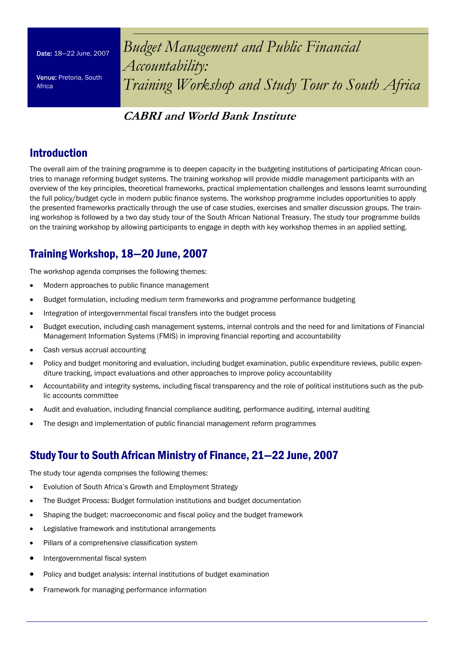Date: 18—22 June, 2007

Venue: Pretoria, South Africa

*Budget Management and Public Financial Accountability: Training Workshop and Study Tour to South Africa* 

# **CABRI and World Bank Institute**

# Introduction

The overall aim of the training programme is to deepen capacity in the budgeting institutions of participating African countries to manage reforming budget systems. The training workshop will provide middle management participants with an overview of the key principles, theoretical frameworks, practical implementation challenges and lessons learnt surrounding the full policy/budget cycle in modern public finance systems. The workshop programme includes opportunities to apply the presented frameworks practically through the use of case studies, exercises and smaller discussion groups. The training workshop is followed by a two day study tour of the South African National Treasury. The study tour programme builds on the training workshop by allowing participants to engage in depth with key workshop themes in an applied setting.

# Training Workshop, 18—20 June, 2007

The workshop agenda comprises the following themes:

- Modern approaches to public finance management
- Budget formulation, including medium term frameworks and programme performance budgeting
- Integration of intergovernmental fiscal transfers into the budget process
- Budget execution, including cash management systems, internal controls and the need for and limitations of Financial Management Information Systems (FMIS) in improving financial reporting and accountability
- Cash versus accrual accounting
- Policy and budget monitoring and evaluation, including budget examination, public expenditure reviews, public expenditure tracking, impact evaluations and other approaches to improve policy accountability
- Accountability and integrity systems, including fiscal transparency and the role of political institutions such as the public accounts committee
- Audit and evaluation, including financial compliance auditing, performance auditing, internal auditing
- The design and implementation of public financial management reform programmes

# Study Tour to South African Ministry of Finance, 21—22 June, 2007

The study tour agenda comprises the following themes:

- Evolution of South Africa's Growth and Employment Strategy
- The Budget Process: Budget formulation institutions and budget documentation
- Shaping the budget: macroeconomic and fiscal policy and the budget framework
- Legislative framework and institutional arrangements
- Pillars of a comprehensive classification system
- Intergovernmental fiscal system
- Policy and budget analysis: internal institutions of budget examination
- Framework for managing performance information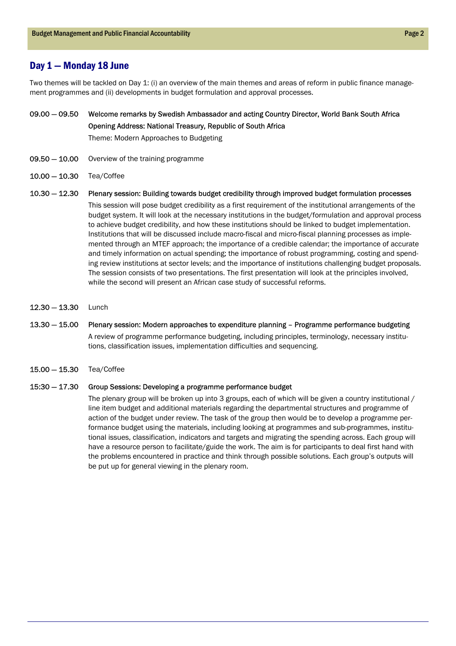## Day 1 — Monday 18 June

Two themes will be tackled on Day 1: (i) an overview of the main themes and areas of reform in public finance management programmes and (ii) developments in budget formulation and approval processes.

### 09.00 — 09.50 Welcome remarks by Swedish Ambassador and acting Country Director, World Bank South Africa Opening Address: National Treasury, Republic of South Africa

Theme: Modern Approaches to Budgeting

- Overview of the training programme 09.50 — 10.00
- 10.00 10.30 Tea/Coffee
- 10.30 12.30 Plenary session: Building towards budget credibility through improved budget formulation processes This session will pose budget credibility as a first requirement of the institutional arrangements of the budget system. It will look at the necessary institutions in the budget/formulation and approval process to achieve budget credibility, and how these institutions should be linked to budget implementation. Institutions that will be discussed include macro-fiscal and micro-fiscal planning processes as implemented through an MTEF approach; the importance of a credible calendar; the importance of accurate and timely information on actual spending; the importance of robust programming, costing and spending review institutions at sector levels; and the importance of institutions challenging budget proposals. The session consists of two presentations. The first presentation will look at the principles involved, while the second will present an African case study of successful reforms.
- 12.30 13.30 Lunch
- 13.30 15.00 Plenary session: Modern approaches to expenditure planning – Programme performance budgeting A review of programme performance budgeting, including principles, terminology, necessary institutions, classification issues, implementation difficulties and sequencing.
- 15.00 15.30 Tea/Coffee

#### 15:30 — 17.30 Group Sessions: Developing a programme performance budget

The plenary group will be broken up into 3 groups, each of which will be given a country institutional / line item budget and additional materials regarding the departmental structures and programme of action of the budget under review. The task of the group then would be to develop a programme performance budget using the materials, including looking at programmes and sub-programmes, institutional issues, classification, indicators and targets and migrating the spending across. Each group will have a resource person to facilitate/guide the work. The aim is for participants to deal first hand with the problems encountered in practice and think through possible solutions. Each group's outputs will be put up for general viewing in the plenary room.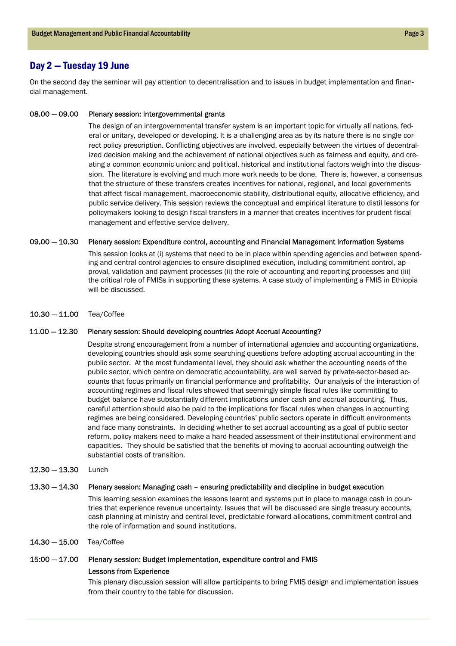# Day 2 — Tuesday 19 June

On the second day the seminar will pay attention to decentralisation and to issues in budget implementation and financial management.

#### Plenary session: Intergovernmental grants 08.00 — 09.00

The design of an intergovernmental transfer system is an important topic for virtually all nations, federal or unitary, developed or developing. It is a challenging area as by its nature there is no single correct policy prescription. Conflicting objectives are involved, especially between the virtues of decentralized decision making and the achievement of national objectives such as fairness and equity, and creating a common economic union; and political, historical and institutional factors weigh into the discussion. The literature is evolving and much more work needs to be done. There is, however, a consensus that the structure of these transfers creates incentives for national, regional, and local governments that affect fiscal management, macroeconomic stability, distributional equity, allocative efficiency, and public service delivery. This session reviews the conceptual and empirical literature to distil lessons for policymakers looking to design fiscal transfers in a manner that creates incentives for prudent fiscal management and effective service delivery.

#### 09.00 — 10.30 Plenary session: Expenditure control, accounting and Financial Management Information Systems

This session looks at (i) systems that need to be in place within spending agencies and between spending and central control agencies to ensure disciplined execution, including commitment control, approval, validation and payment processes (ii) the role of accounting and reporting processes and (iii) the critical role of FMISs in supporting these systems. A case study of implementing a FMIS in Ethiopia will be discussed.

10.30 — 11.00 Tea/Coffee

#### 11.00 — 12.30 Plenary session: Should developing countries Adopt Accrual Accounting?

Despite strong encouragement from a number of international agencies and accounting organizations, developing countries should ask some searching questions before adopting accrual accounting in the public sector. At the most fundamental level, they should ask whether the accounting needs of the public sector, which centre on democratic accountability, are well served by private-sector-based accounts that focus primarily on financial performance and profitability. Our analysis of the interaction of accounting regimes and fiscal rules showed that seemingly simple fiscal rules like committing to budget balance have substantially different implications under cash and accrual accounting. Thus, careful attention should also be paid to the implications for fiscal rules when changes in accounting regimes are being considered. Developing countries' public sectors operate in difficult environments and face many constraints. In deciding whether to set accrual accounting as a goal of public sector reform, policy makers need to make a hard-headed assessment of their institutional environment and capacities. They should be satisfied that the benefits of moving to accrual accounting outweigh the substantial costs of transition.

12.30 — 13.30 Lunch

#### 13.30 — 14.30 Plenary session: Managing cash – ensuring predictability and discipline in budget execution

This learning session examines the lessons learnt and systems put in place to manage cash in countries that experience revenue uncertainty. Issues that will be discussed are single treasury accounts, cash planning at ministry and central level, predictable forward allocations, commitment control and the role of information and sound institutions.

14.30 — 15.00 Tea/Coffee

### 15:00 — 17.00 Plenary session: Budget implementation, expenditure control and FMIS

### Lessons from Experience

This plenary discussion session will allow participants to bring FMIS design and implementation issues from their country to the table for discussion.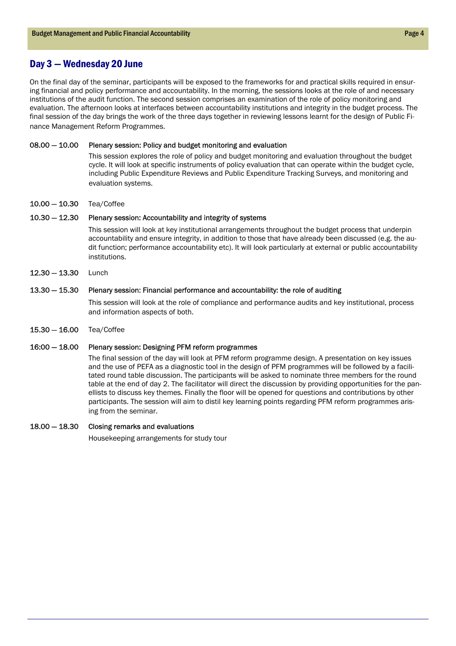## Day 3 — Wednesday 20 June

On the final day of the seminar, participants will be exposed to the frameworks for and practical skills required in ensuring financial and policy performance and accountability. In the morning, the sessions looks at the role of and necessary institutions of the audit function. The second session comprises an examination of the role of policy monitoring and evaluation. The afternoon looks at interfaces between accountability institutions and integrity in the budget process. The final session of the day brings the work of the three days together in reviewing lessons learnt for the design of Public Finance Management Reform Programmes.

#### Plenary session: Policy and budget monitoring and evaluation 08.00 — 10.00

This session explores the role of policy and budget monitoring and evaluation throughout the budget cycle. It will look at specific instruments of policy evaluation that can operate within the budget cycle, including Public Expenditure Reviews and Public Expenditure Tracking Surveys, and monitoring and evaluation systems.

10.00 — 10.30 Tea/Coffee

#### Plenary session: Accountability and integrity of systems 10.30 — 12.30

This session will look at key institutional arrangements throughout the budget process that underpin accountability and ensure integrity, in addition to those that have already been discussed (e.g. the audit function; performance accountability etc). It will look particularly at external or public accountability institutions.

 $12.30 - 13.30$  Lunch

#### 13.30 — 15.30 Plenary session: Financial performance and accountability: the role of auditing

This session will look at the role of compliance and performance audits and key institutional, process and information aspects of both.

15.30 — 16.00 Tea/Coffee

#### 16:00 — 18.00 Plenary session: Designing PFM reform programmes

The final session of the day will look at PFM reform programme design. A presentation on key issues and the use of PEFA as a diagnostic tool in the design of PFM programmes will be followed by a facilitated round table discussion. The participants will be asked to nominate three members for the round table at the end of day 2. The facilitator will direct the discussion by providing opportunities for the panellists to discuss key themes. Finally the floor will be opened for questions and contributions by other participants. The session will aim to distil key learning points regarding PFM reform programmes arising from the seminar.

#### 18.00 — 18.30 Closing remarks and evaluations

Housekeeping arrangements for study tour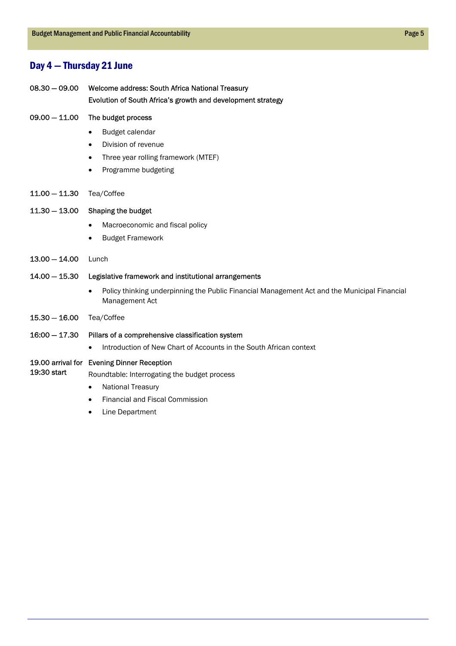# Day 4 — Thursday 21 June

- Welcome address: South Africa National Treasury Evolution of South Africa's growth and development strategy 08.30 — 09.00
- The budget process 09.00 — 11.00
	- Budget calendar
		- Division of revenue
	- Three year rolling framework (MTEF)
	- Programme budgeting
- 11.00 11.30 Tea/Coffee

#### 11.30 — 13.00 Shaping the budget

- Macroeconomic and fiscal policy
- Budget Framework
- 13.00 14.00 Lunch

#### 14.00 — 15.30 Legislative framework and institutional arrangements

- Policy thinking underpinning the Public Financial Management Act and the Municipal Financial Management Act
- 15.30 16.00 Tea/Coffee

#### 16:00 — 17.30 Pillars of a comprehensive classification system

• Introduction of New Chart of Accounts in the South African context

### 19.00 arrival for Evening Dinner Reception

- 19:30 start Roundtable: Interrogating the budget process
	- National Treasury
	- Financial and Fiscal Commission
	- **Line Department**